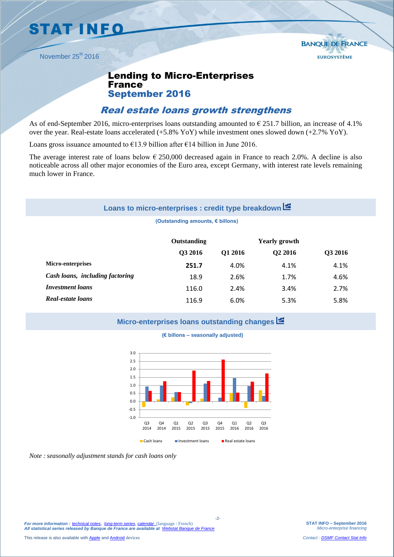**STAT INFO** 

November 25<sup>th</sup> 2016

# Lending to Micro-Enterprises **France** September 2016

## Real estate loans growth strengthens

As of end-September 2016, micro-enterprises loans outstanding amounted to  $\epsilon$  251.7 billion, an increase of 4.1% over the year. Real-estate loans accelerated (+5.8% YoY) while investment ones slowed down (+2.7% YoY).

Loans gross issuance amounted to  $\epsilon$ 13.9 billion after  $\epsilon$ 14 billion in June 2016.

The average interest rate of loans below  $\epsilon$  250,000 decreased again in France to reach 2.0%. A decline is also noticeable across all other major economies of the Euro area, except Germany, with interest rate levels remaining much lower in France.

# **Loans to micro-enterprises : credit type breakdown**

#### **(Outstanding amounts, € billons)**

|                                 | Outstanding |         | <b>Yearly growth</b> |         |
|---------------------------------|-------------|---------|----------------------|---------|
|                                 | Q3 2016     | Q1 2016 | Q <sub>2</sub> 2016  | Q3 2016 |
| Micro-enterprises               | 251.7       | 4.0%    | 4.1%                 | 4.1%    |
| Cash loans, including factoring | 18.9        | 2.6%    | 1.7%                 | 4.6%    |
| <i>Investment loans</i>         | 116.0       | 2.4%    | 3.4%                 | 2.7%    |
| Real-estate loans               | 116.9       | 6.0%    | 5.3%                 | 5.8%    |

### **Micro-enterprises loans outstanding changes**





*Note : seasonally adjustment stands for cash loans only* 

**STAT INFO – September 2016** *Micro-enterprise financing*